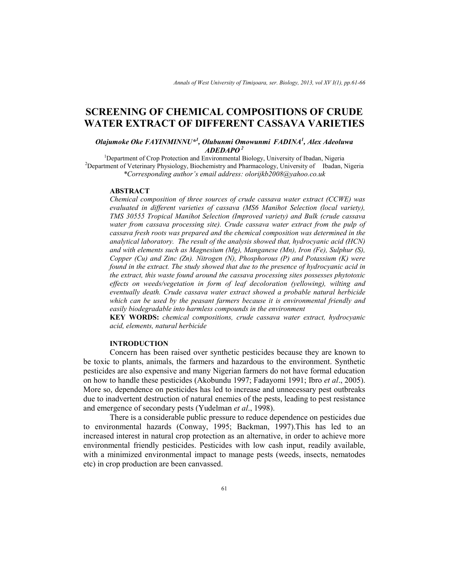# **SCREENING OF CHEMICAL COMPOSITIONS OF CRUDE WATER EXTRACT OF DIFFERENT CASSAVA VARIETIES**

## *Olajumoke Oke FAYINMINNU\*<sup>1</sup> , Olubunmi Omowunmi FADINA<sup>1</sup> , Alex Adeoluwa ADEDAPO<sup>2</sup>*

<sup>1</sup>Department of Crop Protection and Environmental Biology, University of Ibadan, Nigeria <sup>2</sup>Department of Veterinary Physiology, Biochemistry and Pharmacology, University of Ibadan, Nigeria *\*Corresponding author's email address: olorijkb2008@yahoo.co.uk* 

#### **ABSTRACT**

*Chemical composition of three sources of crude cassava water extract (CCWE) was evaluated in different varieties of cassava (MS6 Manihot Selection (local variety), TMS 30555 Tropical Manihot Selection (Improved variety) and Bulk (crude cassava water from cassava processing site). Crude cassava water extract from the pulp of cassava fresh roots was prepared and the chemical composition was determined in the analytical laboratory. The result of the analysis showed that, hydrocyanic acid (HCN) and with elements such as Magnesium (Mg), Manganese (Mn), Iron (Fe), Sulphur (S), Copper (Cu) and Zinc (Zn). Nitrogen (N), Phosphorous (P) and Potassium (K) were found in the extract. The study showed that due to the presence of hydrocyanic acid in the extract, this waste found around the cassava processing sites possesses phytotoxic effects on weeds/vegetation in form of leaf decoloration (yellowing), wilting and eventually death. Crude cassava water extract showed a probable natural herbicide which can be used by the peasant farmers because it is environmental friendly and easily biodegradable into harmless compounds in the environment* 

**KEY WORDS:** *chemical compositions, crude cassava water extract, hydrocyanic acid, elements, natural herbicide*

#### **INTRODUCTION**

Concern has been raised over synthetic pesticides because they are known to be toxic to plants, animals, the farmers and hazardous to the environment. Synthetic pesticides are also expensive and many Nigerian farmers do not have formal education on how to handle these pesticides (Akobundu 1997; Fadayomi 1991; Ibro *et al*., 2005). More so, dependence on pesticides has led to increase and unnecessary pest outbreaks due to inadvertent destruction of natural enemies of the pests, leading to pest resistance and emergence of secondary pests (Yudelman *et al*., 1998).

There is a considerable public pressure to reduce dependence on pesticides due to environmental hazards (Conway, 1995; Backman, 1997).This has led to an increased interest in natural crop protection as an alternative, in order to achieve more environmental friendly pesticides. Pesticides with low cash input, readily available, with a minimized environmental impact to manage pests (weeds, insects, nematodes etc) in crop production are been canvassed.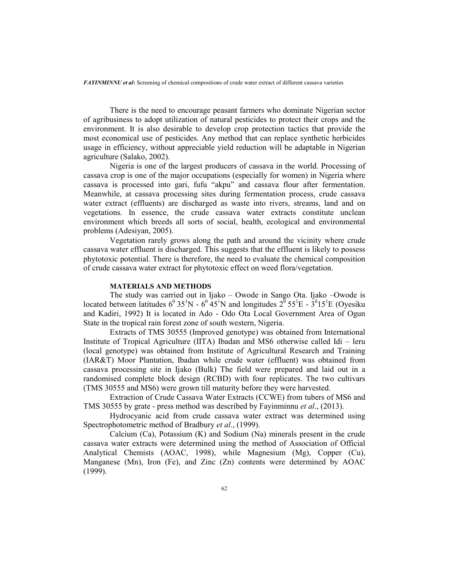*FAYINMINNU et al***:** Screening of chemical compositions of crude water extract of different cassava varieties

There is the need to encourage peasant farmers who dominate Nigerian sector of agribusiness to adopt utilization of natural pesticides to protect their crops and the environment. It is also desirable to develop crop protection tactics that provide the most economical use of pesticides. Any method that can replace synthetic herbicides usage in efficiency, without appreciable yield reduction will be adaptable in Nigerian agriculture (Salako, 2002).

Nigeria is one of the largest producers of cassava in the world. Processing of cassava crop is one of the major occupations (especially for women) in Nigeria where cassava is processed into gari, fufu "akpu" and cassava flour after fermentation. Meanwhile, at cassava processing sites during fermentation process, crude cassava water extract (effluents) are discharged as waste into rivers, streams, land and on vegetations. In essence, the crude cassava water extracts constitute unclean environment which breeds all sorts of social, health, ecological and environmental problems (Adesiyan, 2005).

Vegetation rarely grows along the path and around the vicinity where crude cassava water effluent is discharged. This suggests that the effluent is likely to possess phytotoxic potential. There is therefore, the need to evaluate the chemical composition of crude cassava water extract for phytotoxic effect on weed flora/vegetation.

#### **MATERIALS AND METHODS**

The study was carried out in Ijako – Owode in Sango Ota. Ijako –Owode is located between latitudes  $6^{\circ}35^1N - 6^{\circ}45^1N$  and longitudes  $2^{\circ}55^1E - 3^{\circ}15^1E$  (Oyesiku and Kadiri, 1992) It is located in Ado - Odo Ota Local Government Area of Ogun State in the tropical rain forest zone of south western, Nigeria.

Extracts of TMS 30555 (Improved genotype) was obtained from International Institute of Tropical Agriculture (IITA) Ibadan and MS6 otherwise called Idi – leru (local genotype) was obtained from Institute of Agricultural Research and Training (IAR&T) Moor Plantation, Ibadan while crude water (effluent) was obtained from cassava processing site in Ijako (Bulk) The field were prepared and laid out in a randomised complete block design (RCBD) with four replicates. The two cultivars (TMS 30555 and MS6) were grown till maturity before they were harvested.

Extraction of Crude Cassava Water Extracts (CCWE) from tubers of MS6 and TMS 30555 by grate - press method was described by Fayinminnu *et al*., (2013).

Hydrocyanic acid from crude cassava water extract was determined using Spectrophotometric method of Bradbury *et al*., (1999).

Calcium (Ca), Potassium (K) and Sodium (Na) minerals present in the crude cassava water extracts were determined using the method of Association of Official Analytical Chemists (AOAC, 1998), while Magnesium (Mg), Copper (Cu), Manganese (Mn), Iron (Fe), and Zinc (Zn) contents were determined by AOAC (1999).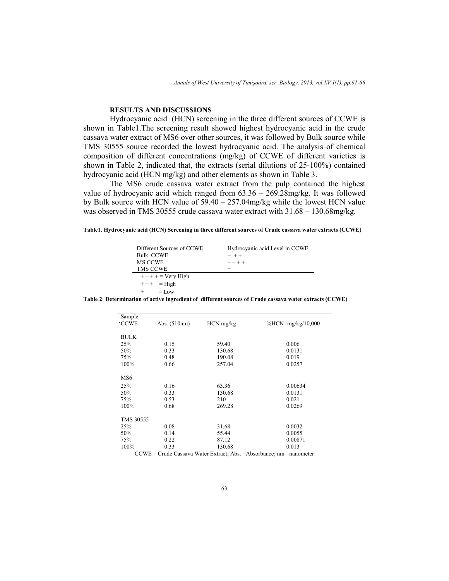# **RESULTS AND DISCUSSIONS**

 Hydrocyanic acid (HCN) screening in the three different sources of CCWE is shown in Table1.The screening result showed highest hydrocyanic acid in the crude cassava water extract of MS6 over other sources, it was followed by Bulk source while TMS 30555 source recorded the lowest hydrocyanic acid. The analysis of chemical composition of different concentrations (mg/kg) of CCWE of different varieties is shown in Table 2, indicated that, the extracts (serial dilutions of 25-100%) contained hydrocyanic acid (HCN mg/kg) and other elements as shown in Table 3.

 The MS6 crude cassava water extract from the pulp contained the highest value of hydrocyanic acid which ranged from  $63.36 - 269.28 \text{mg/kg}$ . It was followed by Bulk source with HCN value of 59.40 – 257.04mg/kg while the lowest HCN value was observed in TMS 30555 crude cassava water extract with 31.68 – 130.68mg/kg.

**Table1. Hydrocyanic acid (HCN) Screening in three different sources of Crude cassava water extracts (CCWE)** 

| Different Sources of CCWE | Hydrocyanic acid Level in CCWE |
|---------------------------|--------------------------------|
| <b>Bulk CCWE</b>          | $+ + +$                        |
| MS CCWE                   | $+ + + +$                      |
| <b>TMS CCWE</b>           |                                |
| $++++$ = Very High        |                                |
| $+++$ = High              |                                |
| $=$ Low                   |                                |

**Table 2**: **Determination of active ingredient of different sources of Crude cassava water extracts (CCWE)** 

| Sample                                                                  |                |             |                       |  |  |
|-------------------------------------------------------------------------|----------------|-------------|-----------------------|--|--|
| <b>CCWE</b>                                                             | Abs. $(510nm)$ | $HCN$ mg/kg | $\%$ HCN=mg/kg/10,000 |  |  |
|                                                                         |                |             |                       |  |  |
| <b>BULK</b>                                                             |                |             |                       |  |  |
| 25%                                                                     | 0.15           | 59.40       | 0.006                 |  |  |
| 50%                                                                     | 0.33           | 130.68      | 0.0131                |  |  |
| 75%                                                                     | 0.48           | 190.08      | 0.019                 |  |  |
| 100%                                                                    | 0.66           | 257.04      | 0.0257                |  |  |
|                                                                         |                |             |                       |  |  |
| MS6                                                                     |                |             |                       |  |  |
| 25%                                                                     | 0.16           | 63.36       | 0.00634               |  |  |
| 50%                                                                     | 0.33           | 130.68      | 0.0131                |  |  |
| 75%                                                                     | 0.53           | 210         | 0.021                 |  |  |
| 100%                                                                    | 0.68           | 269.28      | 0.0269                |  |  |
|                                                                         |                |             |                       |  |  |
| <b>TMS 30555</b>                                                        |                |             |                       |  |  |
| 25%                                                                     | 0.08           | 31.68       | 0.0032                |  |  |
| 50%                                                                     | 0.14           | 55.44       | 0.0055                |  |  |
| 75%                                                                     | 0.22           | 87.12       | 0.00871               |  |  |
| 100%                                                                    | 0.33           | 130.68      | 0.013                 |  |  |
| $CCWE = Crude Cassava Water Extract; Abs. = Absorbance; nm = nanometer$ |                |             |                       |  |  |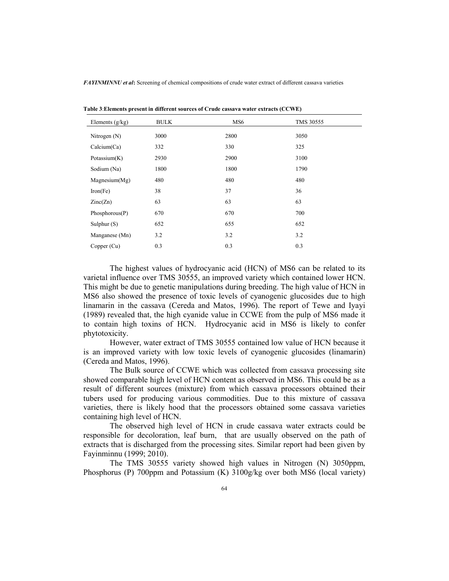*FAYINMINNU et al***:** Screening of chemical compositions of crude water extract of different cassava varieties

| Elements $(g/kg)$ | <b>BULK</b> | MS <sub>6</sub> | TMS 30555 |
|-------------------|-------------|-----------------|-----------|
| Nitrogen $(N)$    | 3000        | 2800            | 3050      |
| Calcium(Ca)       | 332         | 330             | 325       |
| Potassium $(K)$   | 2930        | 2900            | 3100      |
| Sodium (Na)       | 1800        | 1800            | 1790      |
| Magnesium(Mg)     | 480         | 480             | 480       |
| Iron(Fe)          | 38          | 37              | 36        |
| Zinc(Zn)          | 63          | 63              | 63        |
| Phosphorous(P)    | 670         | 670             | 700       |
| Sulphur $(S)$     | 652         | 655             | 652       |
| Manganese (Mn)    | 3.2         | 3.2             | 3.2       |
| Copper (Cu)       | 0.3         | 0.3             | 0.3       |

**Table 3**:**Elements present in different sources of Crude cassava water extracts (CCWE)**

 The highest values of hydrocyanic acid (HCN) of MS6 can be related to its varietal influence over TMS 30555, an improved variety which contained lower HCN. This might be due to genetic manipulations during breeding. The high value of HCN in MS6 also showed the presence of toxic levels of cyanogenic glucosides due to high linamarin in the cassava (Cereda and Matos, 1996). The report of Tewe and Iyayi (1989) revealed that, the high cyanide value in CCWE from the pulp of MS6 made it to contain high toxins of HCN. Hydrocyanic acid in MS6 is likely to confer phytotoxicity.

 However, water extract of TMS 30555 contained low value of HCN because it is an improved variety with low toxic levels of cyanogenic glucosides (linamarin) (Cereda and Matos, 1996).

 The Bulk source of CCWE which was collected from cassava processing site showed comparable high level of HCN content as observed in MS6. This could be as a result of different sources (mixture) from which cassava processors obtained their tubers used for producing various commodities. Due to this mixture of cassava varieties, there is likely hood that the processors obtained some cassava varieties containing high level of HCN.

 The observed high level of HCN in crude cassava water extracts could be responsible for decoloration, leaf burn, that are usually observed on the path of extracts that is discharged from the processing sites. Similar report had been given by Fayinminnu (1999; 2010).

 The TMS 30555 variety showed high values in Nitrogen (N) 3050ppm, Phosphorus (P) 700ppm and Potassium (K) 3100g/kg over both MS6 (local variety)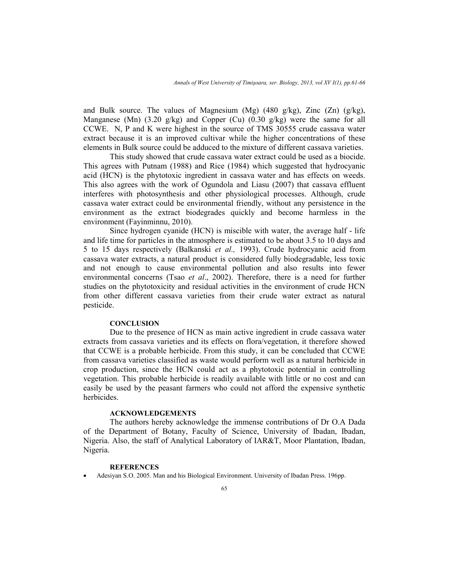and Bulk source. The values of Magnesium (Mg) (480 g/kg), Zinc  $(Zn)$  (g/kg), Manganese (Mn)  $(3.20 \text{ g/kg})$  and Copper (Cu)  $(0.30 \text{ g/kg})$  were the same for all CCWE. N, P and K were highest in the source of TMS 30555 crude cassava water extract because it is an improved cultivar while the higher concentrations of these elements in Bulk source could be adduced to the mixture of different cassava varieties.

 This study showed that crude cassava water extract could be used as a biocide. This agrees with Putnam (1988) and Rice (1984) which suggested that hydrocyanic acid (HCN) is the phytotoxic ingredient in cassava water and has effects on weeds. This also agrees with the work of Ogundola and Liasu (2007) that cassava effluent interferes with photosynthesis and other physiological processes. Although, crude cassava water extract could be environmental friendly, without any persistence in the environment as the extract biodegrades quickly and become harmless in the environment (Fayinminnu, 2010).

 Since hydrogen cyanide (HCN) is miscible with water, the average half - life and life time for particles in the atmosphere is estimated to be about 3.5 to 10 days and 5 to 15 days respectively (Balkanski *et al.,* 1993). Crude hydrocyanic acid from cassava water extracts, a natural product is considered fully biodegradable, less toxic and not enough to cause environmental pollution and also results into fewer environmental concerns (Tsao *et al*., 2002). Therefore, there is a need for further studies on the phytotoxicity and residual activities in the environment of crude HCN from other different cassava varieties from their crude water extract as natural pesticide.

#### **CONCLUSION**

Due to the presence of HCN as main active ingredient in crude cassava water extracts from cassava varieties and its effects on flora/vegetation, it therefore showed that CCWE is a probable herbicide. From this study, it can be concluded that CCWE from cassava varieties classified as waste would perform well as a natural herbicide in crop production, since the HCN could act as a phytotoxic potential in controlling vegetation. This probable herbicide is readily available with little or no cost and can easily be used by the peasant farmers who could not afford the expensive synthetic herbicides.

### **ACKNOWLEDGEMENTS**

 The authors hereby acknowledge the immense contributions of Dr O.A Dada of the Department of Botany, Faculty of Science, University of Ibadan, Ibadan, Nigeria. Also, the staff of Analytical Laboratory of IAR&T, Moor Plantation, Ibadan, Nigeria.

#### **REFERENCES**

• Adesiyan S.O. 2005. Man and his Biological Environment. University of Ibadan Press. 196pp.